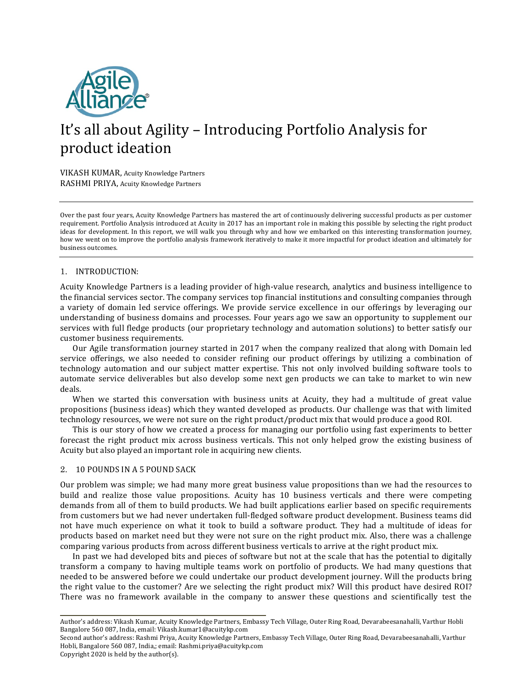

# It's all about Agility - Introducing Portfolio Analysis for product ideation

VIKASH KUMAR, Acuity Knowledge Partners RASHMI PRIYA, Acuity Knowledge Partners

Over the past four years, Acuity Knowledge Partners has mastered the art of continuously delivering successful products as per customer requirement. Portfolio Analysis introduced at Acuity in 2017 has an important role in making this possible by selecting the right product ideas for development. In this report, we will walk you through why and how we embarked on this interesting transformation journey, how we went on to improve the portfolio analysis framework iteratively to make it more impactful for product ideation and ultimately for business outcomes.

## 1. INTRODUCTION:

Acuity Knowledge Partners is a leading provider of high-value research, analytics and business intelligence to the financial services sector. The company services top financial institutions and consulting companies through a variety of domain led service offerings. We provide service excellence in our offerings by leveraging our understanding of business domains and processes. Four years ago we saw an opportunity to supplement our services with full fledge products (our proprietary technology and automation solutions) to better satisfy our customer business requirements.

Our Agile transformation journey started in 2017 when the company realized that along with Domain led service offerings, we also needed to consider refining our product offerings by utilizing a combination of technology automation and our subject matter expertise. This not only involved building software tools to automate service deliverables but also develop some next gen products we can take to market to win new deals.

When we started this conversation with business units at Acuity, they had a multitude of great value propositions (business ideas) which they wanted developed as products. Our challenge was that with limited technology resources, we were not sure on the right product/product mix that would produce a good ROI.

This is our story of how we created a process for managing our portfolio using fast experiments to better forecast the right product mix across business verticals. This not only helped grow the existing business of Acuity but also played an important role in acquiring new clients.

#### 2. 10 POUNDS IN A 5 POUND SACK

Our problem was simple; we had many more great business value propositions than we had the resources to build and realize those value propositions. Acuity has 10 business verticals and there were competing demands from all of them to build products. We had built applications earlier based on specific requirements from customers but we had never undertaken full-fledged software product development. Business teams did not have much experience on what it took to build a software product. They had a multitude of ideas for products based on market need but they were not sure on the right product mix. Also, there was a challenge comparing various products from across different business verticals to arrive at the right product mix.

In past we had developed bits and pieces of software but not at the scale that has the potential to digitally transform a company to having multiple teams work on portfolio of products. We had many questions that needed to be answered before we could undertake our product development journey. Will the products bring the right value to the customer? Are we selecting the right product mix? Will this product have desired ROI? There was no framework available in the company to answer these questions and scientifically test the

Author's address: Vikash Kumar, Acuity Knowledge Partners, Embassy Tech Village, Outer Ring Road, Devarabeesanahalli, Varthur Hobli Bangalore 560 087, India, email: Vikash.kumar1@acuitykp.com

Second author's address: Rashmi Priya, Acuity Knowledge Partners, Embassy Tech Village, Outer Ring Road, Devarabeesanahalli, Varthur Hobli, Bangalore 560 087, India,; email: Rashmi.priya@acuitykp.com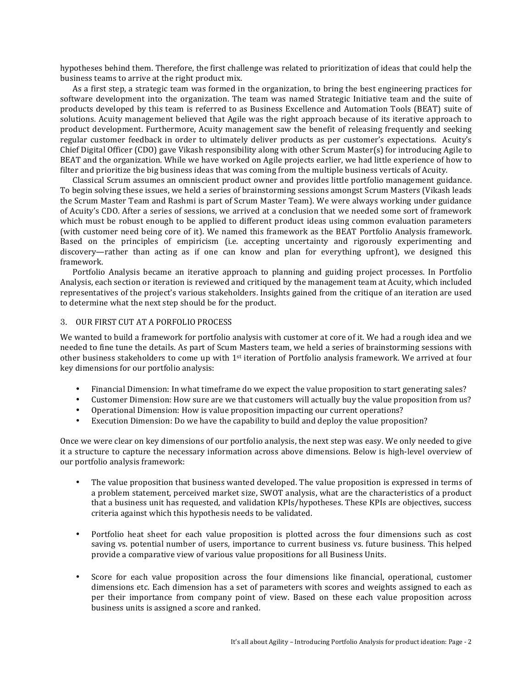hypotheses behind them. Therefore, the first challenge was related to prioritization of ideas that could help the business teams to arrive at the right product mix.

As a first step, a strategic team was formed in the organization, to bring the best engineering practices for software development into the organization. The team was named Strategic Initiative team and the suite of products developed by this team is referred to as Business Excellence and Automation Tools (BEAT) suite of solutions. Acuity management believed that Agile was the right approach because of its iterative approach to product development. Furthermore, Acuity management saw the benefit of releasing frequently and seeking regular customer feedback in order to ultimately deliver products as per customer's expectations. Acuity's Chief Digital Officer (CDO) gave Vikash responsibility along with other Scrum Master(s) for introducing Agile to BEAT and the organization. While we have worked on Agile projects earlier, we had little experience of how to filter and prioritize the big business ideas that was coming from the multiple business verticals of Acuity.

Classical Scrum assumes an omniscient product owner and provides little portfolio management guidance. To begin solving these issues, we held a series of brainstorming sessions amongst Scrum Masters (Vikash leads the Scrum Master Team and Rashmi is part of Scrum Master Team). We were always working under guidance of Acuity's CDO. After a series of sessions, we arrived at a conclusion that we needed some sort of framework which must be robust enough to be applied to different product ideas using common evaluation parameters (with customer need being core of it). We named this framework as the BEAT Portfolio Analysis framework. Based on the principles of empiricism (i.e. accepting uncertainty and rigorously experimenting and discovery—rather than acting as if one can know and plan for everything upfront), we designed this framework.

Portfolio Analysis became an iterative approach to planning and guiding project processes. In Portfolio Analysis, each section or iteration is reviewed and critiqued by the management team at Acuity, which included representatives of the project's various stakeholders. Insights gained from the critique of an iteration are used to determine what the next step should be for the product.

## 3. OUR FIRST CUT AT A PORFOLIO PROCESS

We wanted to build a framework for portfolio analysis with customer at core of it. We had a rough idea and we needed to fine tune the details. As part of Scum Masters team, we held a series of brainstorming sessions with other business stakeholders to come up with  $1<sup>st</sup>$  iteration of Portfolio analysis framework. We arrived at four key dimensions for our portfolio analysis:

- Financial Dimension: In what timeframe do we expect the value proposition to start generating sales?
- Customer Dimension: How sure are we that customers will actually buy the value proposition from us?
- Operational Dimension: How is value proposition impacting our current operations?
- Execution Dimension: Do we have the capability to build and deploy the value proposition?

Once we were clear on key dimensions of our portfolio analysis, the next step was easy. We only needed to give it a structure to capture the necessary information across above dimensions. Below is high-level overview of our portfolio analysis framework:

- The value proposition that business wanted developed. The value proposition is expressed in terms of a problem statement, perceived market size, SWOT analysis, what are the characteristics of a product that a business unit has requested, and validation KPIs/hypotheses. These KPIs are objectives, success criteria against which this hypothesis needs to be validated.
- Portfolio heat sheet for each value proposition is plotted across the four dimensions such as cost saving vs. potential number of users, importance to current business vs. future business. This helped provide a comparative view of various value propositions for all Business Units.
- Score for each value proposition across the four dimensions like financial, operational, customer dimensions etc. Each dimension has a set of parameters with scores and weights assigned to each as per their importance from company point of view. Based on these each value proposition across business units is assigned a score and ranked.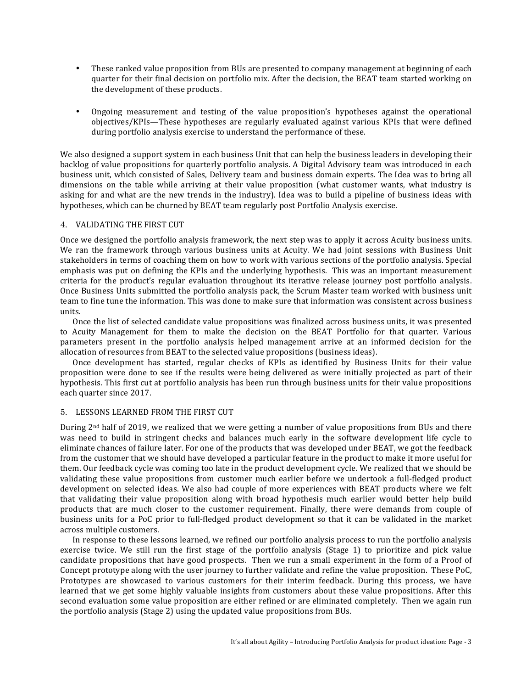- These ranked value proposition from BUs are presented to company management at beginning of each quarter for their final decision on portfolio mix. After the decision, the BEAT team started working on the development of these products.
- Ongoing measurement and testing of the value proposition's hypotheses against the operational objectives/KPIs—These hypotheses are regularly evaluated against various KPIs that were defined during portfolio analysis exercise to understand the performance of these.

We also designed a support system in each business Unit that can help the business leaders in developing their backlog of value propositions for quarterly portfolio analysis. A Digital Advisory team was introduced in each business unit, which consisted of Sales, Delivery team and business domain experts. The Idea was to bring all dimensions on the table while arriving at their value proposition (what customer wants, what industry is asking for and what are the new trends in the industry). Idea was to build a pipeline of business ideas with hypotheses, which can be churned by BEAT team regularly post Portfolio Analysis exercise.

## 4. VALIDATING THE FIRST CUT

Once we designed the portfolio analysis framework, the next step was to apply it across Acuity business units. We ran the framework through various business units at Acuity. We had joint sessions with Business Unit stakeholders in terms of coaching them on how to work with various sections of the portfolio analysis. Special emphasis was put on defining the KPIs and the underlying hypothesis. This was an important measurement criteria for the product's regular evaluation throughout its iterative release journey post portfolio analysis. Once Business Units submitted the portfolio analysis pack, the Scrum Master team worked with business unit team to fine tune the information. This was done to make sure that information was consistent across business units. 

Once the list of selected candidate value propositions was finalized across business units, it was presented to Acuity Management for them to make the decision on the BEAT Portfolio for that quarter. Various parameters present in the portfolio analysis helped management arrive at an informed decision for the allocation of resources from BEAT to the selected value propositions (business ideas).

Once development has started, regular checks of KPIs as identified by Business Units for their value proposition were done to see if the results were being delivered as were initially projected as part of their hypothesis. This first cut at portfolio analysis has been run through business units for their value propositions each quarter since 2017.

## 5. LESSONS LEARNED FROM THE FIRST CUT

During  $2<sup>nd</sup>$  half of 2019, we realized that we were getting a number of value propositions from BUs and there was need to build in stringent checks and balances much early in the software development life cycle to eliminate chances of failure later. For one of the products that was developed under BEAT, we got the feedback from the customer that we should have developed a particular feature in the product to make it more useful for them. Our feedback cycle was coming too late in the product development cycle. We realized that we should be validating these value propositions from customer much earlier before we undertook a full-fledged product development on selected ideas. We also had couple of more experiences with BEAT products where we felt that validating their value proposition along with broad hypothesis much earlier would better help build products that are much closer to the customer requirement. Finally, there were demands from couple of business units for a PoC prior to full-fledged product development so that it can be validated in the market across multiple customers.

In response to these lessons learned, we refined our portfolio analysis process to run the portfolio analysis exercise twice. We still run the first stage of the portfolio analysis (Stage 1) to prioritize and pick value candidate propositions that have good prospects. Then we run a small experiment in the form of a Proof of Concept prototype along with the user journey to further validate and refine the value proposition. These PoC, Prototypes are showcased to various customers for their interim feedback. During this process, we have learned that we get some highly valuable insights from customers about these value propositions. After this second evaluation some value proposition are either refined or are eliminated completely. Then we again run the portfolio analysis (Stage 2) using the updated value propositions from BUs.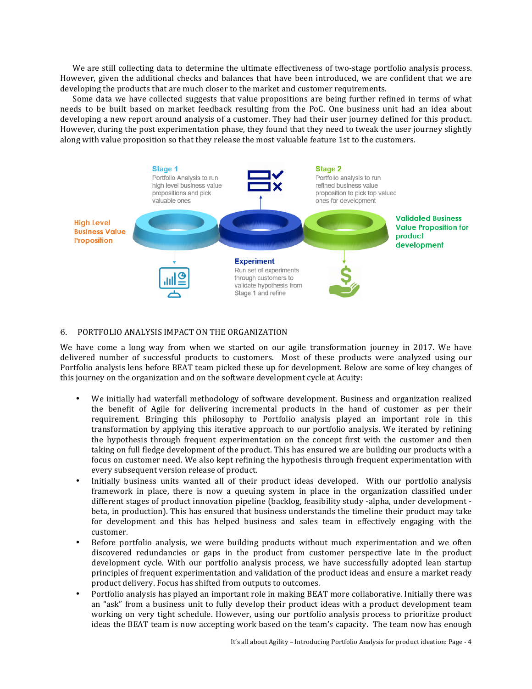We are still collecting data to determine the ultimate effectiveness of two-stage portfolio analysis process. However, given the additional checks and balances that have been introduced, we are confident that we are developing the products that are much closer to the market and customer requirements.

Some data we have collected suggests that value propositions are being further refined in terms of what needs to be built based on market feedback resulting from the PoC. One business unit had an idea about developing a new report around analysis of a customer. They had their user journey defined for this product. However, during the post experimentation phase, they found that they need to tweak the user journey slightly along with value proposition so that they release the most valuable feature 1st to the customers.



#### 6. PORTFOLIO ANALYSIS IMPACT ON THE ORGANIZATION

We have come a long way from when we started on our agile transformation journey in 2017. We have delivered number of successful products to customers. Most of these products were analyzed using our Portfolio analysis lens before BEAT team picked these up for development. Below are some of key changes of this journey on the organization and on the software development cycle at Acuity:

- We initially had waterfall methodology of software development. Business and organization realized the benefit of Agile for delivering incremental products in the hand of customer as per their requirement. Bringing this philosophy to Portfolio analysis played an important role in this transformation by applying this iterative approach to our portfolio analysis. We iterated by refining the hypothesis through frequent experimentation on the concept first with the customer and then taking on full fledge development of the product. This has ensured we are building our products with a focus on customer need. We also kept refining the hypothesis through frequent experimentation with every subsequent version release of product.
- Initially business units wanted all of their product ideas developed. With our portfolio analysis framework in place, there is now a queuing system in place in the organization classified under different stages of product innovation pipeline (backlog, feasibility study -alpha, under development beta, in production). This has ensured that business understands the timeline their product may take for development and this has helped business and sales team in effectively engaging with the customer.
- Before portfolio analysis, we were building products without much experimentation and we often discovered redundancies or gaps in the product from customer perspective late in the product development cycle. With our portfolio analysis process, we have successfully adopted lean startup principles of frequent experimentation and validation of the product ideas and ensure a market ready product delivery. Focus has shifted from outputs to outcomes.
- Portfolio analysis has played an important role in making BEAT more collaborative. Initially there was an "ask" from a business unit to fully develop their product ideas with a product development team working on very tight schedule. However, using our portfolio analysis process to prioritize product ideas the BEAT team is now accepting work based on the team's capacity. The team now has enough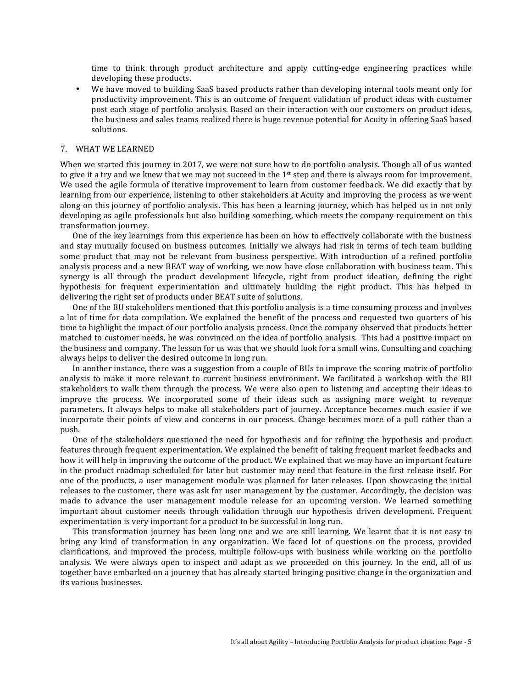time to think through product architecture and apply cutting-edge engineering practices while developing these products.

• We have moved to building SaaS based products rather than developing internal tools meant only for productivity improvement. This is an outcome of frequent validation of product ideas with customer post each stage of portfolio analysis. Based on their interaction with our customers on product ideas, the business and sales teams realized there is huge revenue potential for Acuity in offering SaaS based solutions.

## 7. WHAT WE LEARNED

When we started this journey in 2017, we were not sure how to do portfolio analysis. Though all of us wanted to give it a try and we knew that we may not succeed in the  $1<sup>st</sup>$  step and there is always room for improvement. We used the agile formula of iterative improvement to learn from customer feedback. We did exactly that by learning from our experience, listening to other stakeholders at Acuity and improving the process as we went along on this journey of portfolio analysis. This has been a learning journey, which has helped us in not only developing as agile professionals but also building something, which meets the company requirement on this transformation journey.

One of the key learnings from this experience has been on how to effectively collaborate with the business and stay mutually focused on business outcomes. Initially we always had risk in terms of tech team building some product that may not be relevant from business perspective. With introduction of a refined portfolio analysis process and a new BEAT way of working, we now have close collaboration with business team. This synergy is all through the product development lifecycle, right from product ideation, defining the right hypothesis for frequent experimentation and ultimately building the right product. This has helped in delivering the right set of products under BEAT suite of solutions.

One of the BU stakeholders mentioned that this portfolio analysis is a time consuming process and involves a lot of time for data compilation. We explained the benefit of the process and requested two quarters of his time to highlight the impact of our portfolio analysis process. Once the company observed that products better matched to customer needs, he was convinced on the idea of portfolio analysis. This had a positive impact on the business and company. The lesson for us was that we should look for a small wins. Consulting and coaching always helps to deliver the desired outcome in long run.

In another instance, there was a suggestion from a couple of BUs to improve the scoring matrix of portfolio analysis to make it more relevant to current business environment. We facilitated a workshop with the BU stakeholders to walk them through the process. We were also open to listening and accepting their ideas to improve the process. We incorporated some of their ideas such as assigning more weight to revenue parameters. It always helps to make all stakeholders part of journey. Acceptance becomes much easier if we incorporate their points of view and concerns in our process. Change becomes more of a pull rather than a push.

One of the stakeholders questioned the need for hypothesis and for refining the hypothesis and product features through frequent experimentation. We explained the benefit of taking frequent market feedbacks and how it will help in improving the outcome of the product. We explained that we may have an important feature in the product roadmap scheduled for later but customer may need that feature in the first release itself. For one of the products, a user management module was planned for later releases. Upon showcasing the initial releases to the customer, there was ask for user management by the customer. Accordingly, the decision was made to advance the user management module release for an upcoming version. We learned something important about customer needs through validation through our hypothesis driven development. Frequent experimentation is very important for a product to be successful in long run.

This transformation journey has been long one and we are still learning. We learnt that it is not easy to bring any kind of transformation in any organization. We faced lot of questions on the process, provided clarifications, and improved the process, multiple follow-ups with business while working on the portfolio analysis. We were always open to inspect and adapt as we proceeded on this journey. In the end, all of us together have embarked on a journey that has already started bringing positive change in the organization and its various businesses.